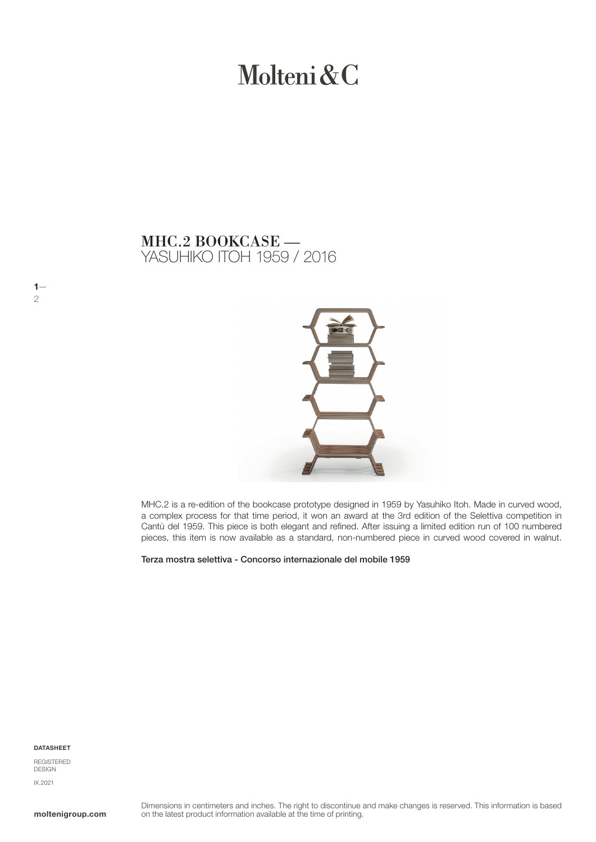# Molteni & C

## YASUHIKO ITOH 1959 / 2016 MHC.2 BOOKCASE —



MHC.2 is a re-edition of the bookcase prototype designed in 1959 by Yasuhiko Itoh. Made in curved wood, a complex process for that time period, it won an award at the 3rd edition of the Selettiva competition in Cantù del 1959. This piece is both elegant and refined. After issuing a limited edition run of 100 numbered pieces, this item is now available as a standard, non-numbered piece in curved wood covered in walnut.

Terza mostra selettiva - Concorso internazionale del mobile 1959

DATASHEET

 $1-$ 

2

REGISTERED DESIGN IX.2021